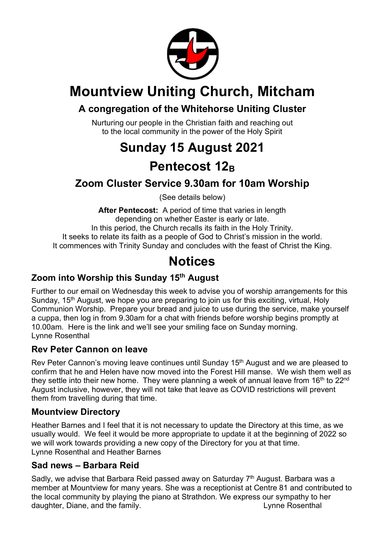

## **Mountview Uniting Church, Mitcham**

### **A congregation of the Whitehorse Uniting Cluster**

Nurturing our people in the Christian faith and reaching out to the local community in the power of the Holy Spirit

## **Sunday 15 August 2021 Pentecost 12B**

### **Zoom Cluster Service 9.30am for 10am Worship**

(See details below)

**After Pentecost:** A period of time that varies in length depending on whether Easter is early or late. In this period, the Church recalls its faith in the Holy Trinity. It seeks to relate its faith as a people of God to Christ's mission in the world. It commences with Trinity Sunday and concludes with the feast of Christ the King.

## **Notices**

### **Zoom into Worship this Sunday 15th August**

Further to our email on Wednesday this week to advise you of worship arrangements for this Sunday, 15<sup>th</sup> August, we hope you are preparing to join us for this exciting, virtual, Holy Communion Worship. Prepare your bread and juice to use during the service, make yourself a cuppa, then log in from 9.30am for a chat with friends before worship begins promptly at 10.00am. Here is the link and we'll see your smiling face on Sunday morning. Lynne Rosenthal

#### **Rev Peter Cannon on leave**

Rev Peter Cannon's moving leave continues until Sunday 15<sup>th</sup> August and we are pleased to confirm that he and Helen have now moved into the Forest Hill manse. We wish them well as they settle into their new home. They were planning a week of annual leave from  $16<sup>th</sup>$  to  $22<sup>nd</sup>$ August inclusive, however, they will not take that leave as COVID restrictions will prevent them from travelling during that time.

#### **Mountview Directory**

Heather Barnes and I feel that it is not necessary to update the Directory at this time, as we usually would. We feel it would be more appropriate to update it at the beginning of 2022 so we will work towards providing a new copy of the Directory for you at that time. Lynne Rosenthal and Heather Barnes

#### **Sad news – Barbara Reid**

Sadly, we advise that Barbara Reid passed away on Saturday 7<sup>th</sup> August. Barbara was a member at Mountview for many years. She was a receptionist at Centre 81 and contributed to the local community by playing the piano at Strathdon. We express our sympathy to her daughter, Diane, and the family. The same state of the second state of the second state of the second state of the second state of the second state of the second state of the second state of the second state of the second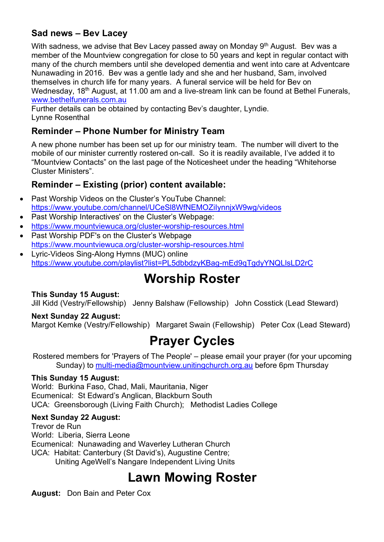#### **Sad news – Bev Lacey**

With sadness, we advise that Bev Lacey passed away on Monday 9<sup>th</sup> August. Bev was a member of the Mountview congregation for close to 50 years and kept in regular contact with many of the church members until she developed dementia and went into care at Adventcare Nunawading in 2016. Bev was a gentle lady and she and her husband, Sam, involved themselves in church life for many years. A funeral service will be held for Bev on Wednesday, 18<sup>th</sup> August, at 11.00 am and a live-stream link can be found at Bethel Funerals, www.bethelfunerals.com.au

Further details can be obtained by contacting Bev's daughter, Lyndie. Lynne Rosenthal

#### **Reminder – Phone Number for Ministry Team**

A new phone number has been set up for our ministry team. The number will divert to the mobile of our minister currently rostered on-call. So it is readily available, I've added it to "Mountview Contacts" on the last page of the Noticesheet under the heading "Whitehorse Cluster Ministers".

#### **Reminder – Existing (prior) content available:**

- Past Worship Videos on the Cluster's YouTube Channel: https://www.youtube.com/channel/UCeSl8WfNEMOZiIynnjxW9wg/videos
- Past Worship Interactives' on the Cluster's Webpage:
- https://www.mountviewuca.org/cluster-worship-resources.html
- Past Worship PDF's on the Cluster's Webpage https://www.mountviewuca.org/cluster-worship-resources.html
- Lyric-Videos Sing-Along Hymns (MUC) online https://www.youtube.com/playlist?list=PL5dbbdzyKBag-mEd9qTgdyYNQLlsLD2rC

## **Worship Roster**

#### **This Sunday 15 August:**

Jill Kidd (Vestry/Fellowship) Jenny Balshaw (Fellowship) John Cosstick (Lead Steward)

#### **Next Sunday 22 August:**

Margot Kemke (Vestry/Fellowship) Margaret Swain (Fellowship) Peter Cox (Lead Steward)

## **Prayer Cycles**

Rostered members for 'Prayers of The People' – please email your prayer (for your upcoming Sunday) to multi-media@mountview.unitingchurch.org.au before 6pm Thursday

#### **This Sunday 15 August:**

World: Burkina Faso, Chad, Mali, Mauritania, Niger Ecumenical: St Edward's Anglican, Blackburn South UCA: Greensborough (Living Faith Church); Methodist Ladies College

#### **Next Sunday 22 August:**

Trevor de Run World: Liberia, Sierra Leone Ecumenical: Nunawading and Waverley Lutheran Church UCA: Habitat: Canterbury (St David's), Augustine Centre; Uniting AgeWell's Nangare Independent Living Units

# **Lawn Mowing Roster**

**August:** Don Bain and Peter Cox